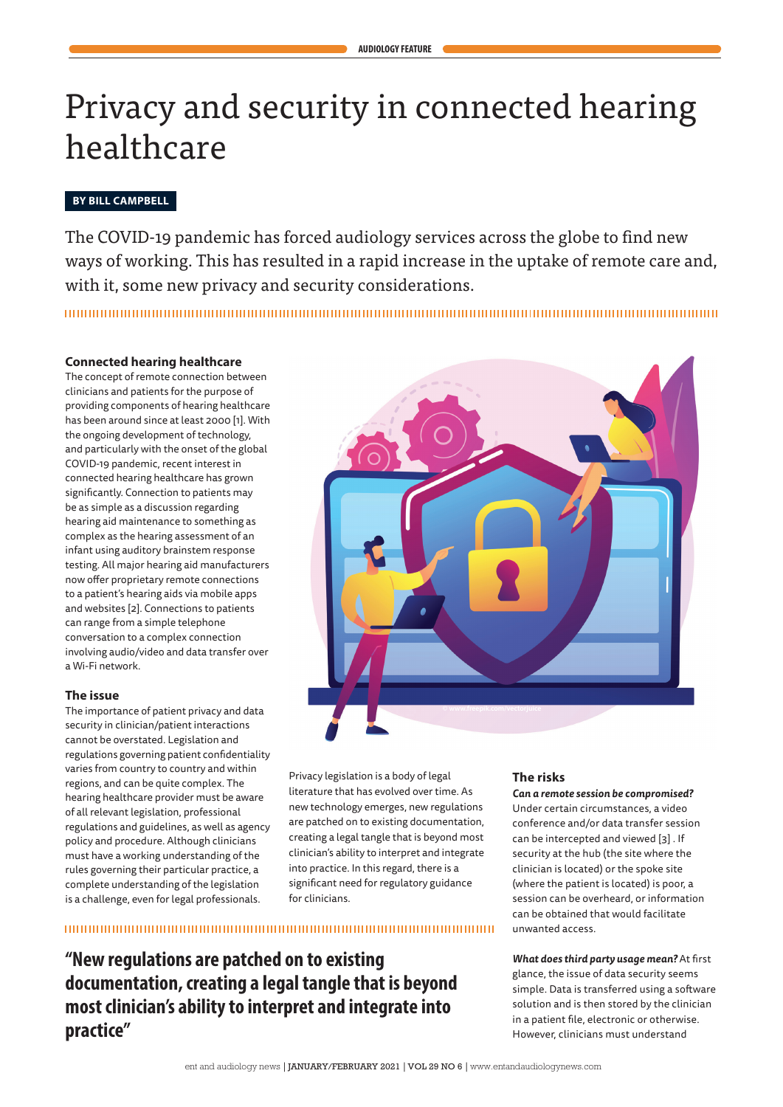# Privacy and security in connected hearing healthcare

## **BY BILL CAMPBELL**

The COVID-19 pandemic has forced audiology services across the globe to find new ways of working. This has resulted in a rapid increase in the uptake of remote care and, with it, some new privacy and security considerations.

### **Connected hearing healthcare**

The concept of remote connection between clinicians and patients for the purpose of providing components of hearing healthcare has been around since at least 2000 [1]. With the ongoing development of technology, and particularly with the onset of the global COVID-19 pandemic, recent interest in connected hearing healthcare has grown significantly. Connection to patients may be as simple as a discussion regarding hearing aid maintenance to something as complex as the hearing assessment of an infant using auditory brainstem response testing. All major hearing aid manufacturers now offer proprietary remote connections to a patient's hearing aids via mobile apps and websites [2]. Connections to patients can range from a simple telephone conversation to a complex connection involving audio/video and data transfer over a Wi-Fi network.

### **The issue**

The importance of patient privacy and data security in clinician/patient interactions cannot be overstated. Legislation and regulations governing patient confidentiality varies from country to country and within regions, and can be quite complex. The hearing healthcare provider must be aware of all relevant legislation, professional regulations and guidelines, as well as agency policy and procedure. Although clinicians must have a working understanding of the rules governing their particular practice, a complete understanding of the legislation is a challenge, even for legal professionals.



Privacy legislation is a body of legal literature that has evolved over time. As new technology emerges, new regulations are patched on to existing documentation, creating a legal tangle that is beyond most clinician's ability to interpret and integrate into practice. In this regard, there is a significant need for regulatory guidance for clinicians.

# 

**"New regulations are patched on to existing documentation, creating a legal tangle that is beyond most clinician's ability to interpret and integrate into practice"**

## **The risks**

*Can a remote session be compromised?*  Under certain circumstances, a video conference and/or data transfer session can be intercepted and viewed [3] . If security at the hub (the site where the clinician is located) or the spoke site (where the patient is located) is poor, a session can be overheard, or information can be obtained that would facilitate unwanted access.

*What does third party usage mean?* At first glance, the issue of data security seems simple. Data is transferred using a software solution and is then stored by the clinician in a patient file, electronic or otherwise. However, clinicians must understand